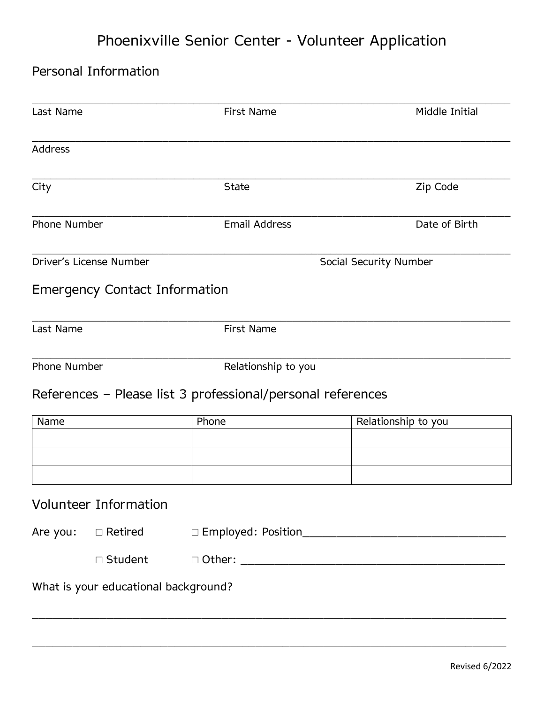## Phoenixville Senior Center - Volunteer Application

## Personal Information

| Last Name                            |                                      | <b>First Name</b>                                           | Middle Initial         |  |  |  |
|--------------------------------------|--------------------------------------|-------------------------------------------------------------|------------------------|--|--|--|
| Address                              |                                      |                                                             |                        |  |  |  |
| City                                 |                                      | <b>State</b>                                                | Zip Code               |  |  |  |
| Phone Number                         |                                      | <b>Email Address</b>                                        | Date of Birth          |  |  |  |
| Driver's License Number              |                                      |                                                             | Social Security Number |  |  |  |
|                                      | <b>Emergency Contact Information</b> |                                                             |                        |  |  |  |
| Last Name                            |                                      | First Name                                                  |                        |  |  |  |
| <b>Phone Number</b>                  |                                      | Relationship to you                                         |                        |  |  |  |
|                                      |                                      | References - Please list 3 professional/personal references |                        |  |  |  |
| Name                                 |                                      | Phone                                                       | Relationship to you    |  |  |  |
|                                      |                                      |                                                             |                        |  |  |  |
|                                      |                                      |                                                             |                        |  |  |  |
|                                      | Volunteer Information                |                                                             |                        |  |  |  |
| Are you: $\square$ Retired           |                                      |                                                             |                        |  |  |  |
|                                      | □ Student                            |                                                             |                        |  |  |  |
| What is your educational background? |                                      |                                                             |                        |  |  |  |

\_\_\_\_\_\_\_\_\_\_\_\_\_\_\_\_\_\_\_\_\_\_\_\_\_\_\_\_\_\_\_\_\_\_\_\_\_\_\_\_\_\_\_\_\_\_\_\_\_\_\_\_\_\_\_\_\_\_\_\_\_\_\_\_\_\_\_\_\_\_